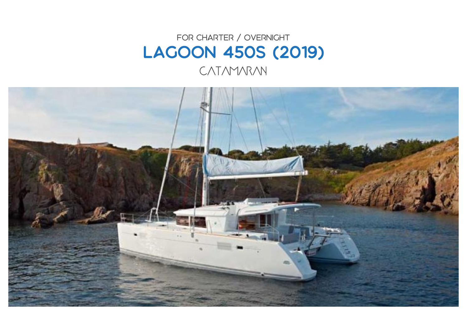## FOR CHARTER / OVERNIGHT Lagoon 450S (2019) CATAMARAN

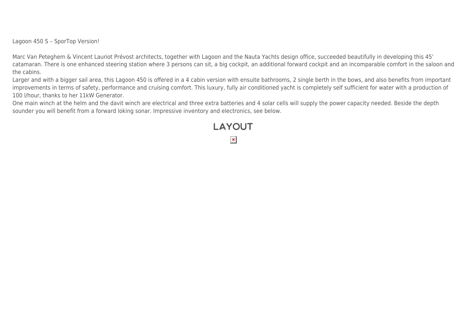Lagoon 450 S – SporTop Version!

Marc Van Peteghem & Vincent Lauriot Prévost architects, together with Lagoon and the Nauta Yachts design office, succeeded beautifully in developing this 45' catamaran. There is one enhanced steering station where 3 persons can sit, a big cockpit, an additional forward cockpit and an incomparable comfort in the saloon and the cabins.

Larger and with a bigger sail area, this Lagoon 450 is offered in a 4 cabin version with ensuite bathrooms, 2 single berth in the bows, and also benefits from important improvements in terms of safety, performance and cruising comfort. This luxury, fully air conditioned yacht is completely self sufficient for water with a production of 100 l/hour, thanks to her 11kW Generator.

**LAYOUT** 

 $\pmb{\times}$ 

One main winch at the helm and the davit winch are electrical and three extra batteries and 4 solar cells will supply the power capacity needed. Beside the depth sounder you will benefit from a forward loking sonar. Impressive inventory and electronics, see below.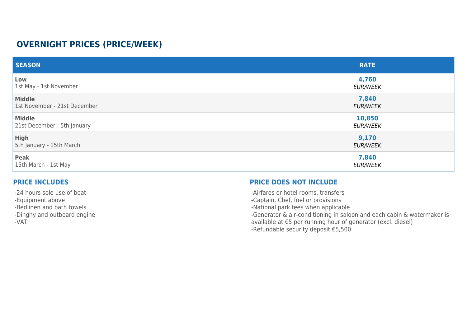## **OVERNIGHT PRICES (PRICE/WEEK)**

| <b>SEASON</b>                | <b>RATE</b>     |
|------------------------------|-----------------|
| Low                          | 4,760           |
| 1st May - 1st November       | <b>EUR/WEEK</b> |
| <b>Middle</b>                | 7,840           |
| 1st November - 21st December | <b>EUR/WEEK</b> |
| <b>Middle</b>                | 10,850          |
| 21st December - 5th January  | <b>EUR/WEEK</b> |
| <b>High</b>                  | 9,170           |
| 5th January - 15th March     | <b>EUR/WEEK</b> |
| Peak                         | 7,840           |
| 15th March - 1st May         | <b>EUR/WEEK</b> |

## **PRICE INCLUDES**

-24 hours sole use of boat -Equipment above -Bedlinen and bath towels -Dinghy and outboard engine -VAT

## **PRICE DOES NOT INCLUDE**

-Airfares or hotel rooms, transfers

-Captain, Chef, fuel or provisions

-National park fees when applicable

-Generator & air-conditioning in saloon and each cabin & watermaker is

available at €5 per running hour of generator (excl. diesel)

-Refundable security deposit €5,500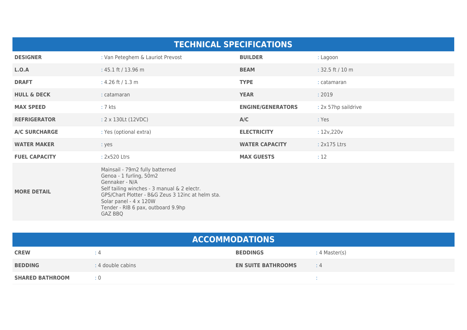| <b>TECHNICAL SPECIFICATIONS</b> |                                                                                                                                                                                                                                                             |                          |                     |  |  |
|---------------------------------|-------------------------------------------------------------------------------------------------------------------------------------------------------------------------------------------------------------------------------------------------------------|--------------------------|---------------------|--|--|
| <b>DESIGNER</b>                 | : Van Peteghem & Lauriot Prevost                                                                                                                                                                                                                            | <b>BUILDER</b>           | : Lagoon            |  |  |
| L.O.A                           | : 45.1 ft / 13.96 m                                                                                                                                                                                                                                         | <b>BEAM</b>              | : $32.5$ ft / 10 m  |  |  |
| <b>DRAFT</b>                    | : 4.26 ft / 1.3 m                                                                                                                                                                                                                                           | <b>TYPE</b>              | : catamaran         |  |  |
| <b>HULL &amp; DECK</b>          | : catamaran                                                                                                                                                                                                                                                 | <b>YEAR</b>              | : 2019              |  |  |
| <b>MAX SPEED</b>                | $: 7$ kts                                                                                                                                                                                                                                                   | <b>ENGINE/GENERATORS</b> | : 2x 57hp saildrive |  |  |
| <b>REFRIGERATOR</b>             | : 2 x 130Lt (12VDC)                                                                                                                                                                                                                                         | A/C                      | : Yes               |  |  |
| <b>A/C SURCHARGE</b>            | : Yes (optional extra)                                                                                                                                                                                                                                      | <b>ELECTRICITY</b>       | : 12v,220v          |  |  |
| <b>WATER MAKER</b>              | : yes                                                                                                                                                                                                                                                       | <b>WATER CAPACITY</b>    | : 2x175 Ltrs        |  |  |
| <b>FUEL CAPACITY</b>            | : 2x520 Ltrs                                                                                                                                                                                                                                                | <b>MAX GUESTS</b>        | : 12                |  |  |
| <b>MORE DETAIL</b>              | Mainsail - 79m2 fully batterned<br>Genoa - 1 furling, 50m2<br>Gennaker - N/A<br>Self tailing winches - 3 manual & 2 electr.<br>GPS/Chart Plotter - B&G Zeus 3 12inc at helm sta.<br>Solar panel - 4 x 120W<br>Tender - RIB 6 pax, outboard 9.9hp<br>GAZ BBQ |                          |                     |  |  |

| <b>ACCOMMODATIONS</b>  |                   |                           |               |  |
|------------------------|-------------------|---------------------------|---------------|--|
| <b>CREW</b>            | $\div$ 4          | <b>BEDDINGS</b>           | : 4 Master(s) |  |
| <b>BEDDING</b>         | : 4 double cabins | <b>EN SUITE BATHROOMS</b> | $\div$ 4      |  |
| <b>SHARED BATHROOM</b> | $\pm 0$           |                           |               |  |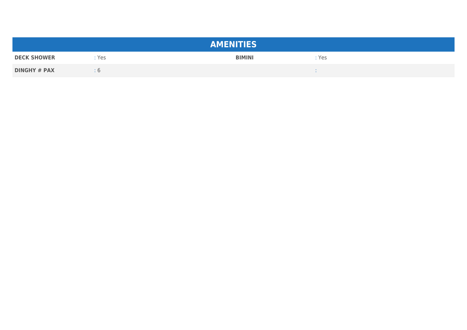| <b>AMENITIES</b>    |         |               |       |  |  |
|---------------------|---------|---------------|-------|--|--|
| <b>DECK SHOWER</b>  | Yes     | <b>BIMINI</b> | : Yes |  |  |
| <b>DINGHY # PAX</b> | $\circ$ |               |       |  |  |